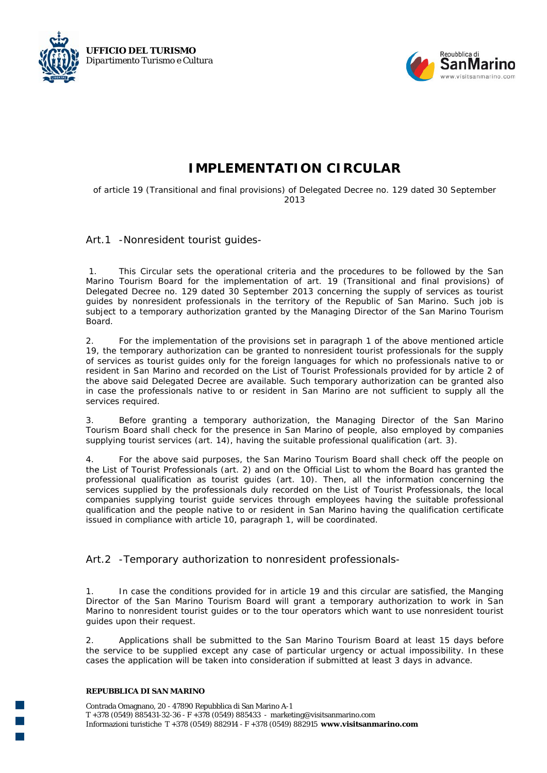



## **IMPLEMENTATION CIRCULAR**

of article 19 (*Transitional and final provisions*) of Delegated Decree no. 129 dated 30 September  $2013$ 

## *Art.1 -Nonresident tourist guides-*

 1. This Circular sets the operational criteria and the procedures to be followed by the San Marino Tourism Board for the implementation of art. 19 (Transitional and final provisions) of Delegated Decree no. 129 dated 30 September 2013 concerning the supply of services as tourist guides by nonresident professionals in the territory of the Republic of San Marino. Such job is subject to a temporary authorization granted by the Managing Director of the San Marino Tourism Board.

2. For the implementation of the provisions set in paragraph 1 of the above mentioned article 19, the temporary authorization can be granted to nonresident tourist professionals for the supply of services as tourist guides only for the foreign languages for which no professionals native to or resident in San Marino and recorded on the List of Tourist Professionals provided for by article 2 of the above said Delegated Decree are available. Such temporary authorization can be granted also in case the professionals native to or resident in San Marino are not sufficient to supply all the services required.

3. Before granting a temporary authorization, the Managing Director of the San Marino Tourism Board shall check for the presence in San Marino of people, also employed by companies supplying tourist services (art. 14), having the suitable professional qualification (art. 3).

4. For the above said purposes, the San Marino Tourism Board shall check off the people on the List of Tourist Professionals (art. 2) and on the Official List to whom the Board has granted the professional qualification as tourist guides (art. 10). Then, all the information concerning the services supplied by the professionals duly recorded on the List of Tourist Professionals, the local companies supplying tourist guide services through employees having the suitable professional qualification and the people native to or resident in San Marino having the qualification certificate issued in compliance with article 10, paragraph 1, will be coordinated.

*Art.2 -Temporary authorization to nonresident professionals-*

1. In case the conditions provided for in article 19 and this circular are satisfied, the Manging Director of the San Marino Tourism Board will grant a temporary authorization to work in San Marino to nonresident tourist guides or to the tour operators which want to use nonresident tourist guides upon their request.

2. Applications shall be submitted to the San Marino Tourism Board at least 15 days before the service to be supplied except any case of particular urgency or actual impossibility. In these cases the application will be taken into consideration if submitted at least 3 days in advance.

## **REPUBBLICA DI SAN MARINO**

Contrada Omagnano, 20 - 47890 Repubblica di San Marino A-1 T +378 (0549) 885431-32-36 - F +378 (0549) 885433 - marketing@visitsanmarino.com Informazioni turisticheT +378 (0549) 882914 - F +378 (0549) 882915 **www.visitsanmarino.com**